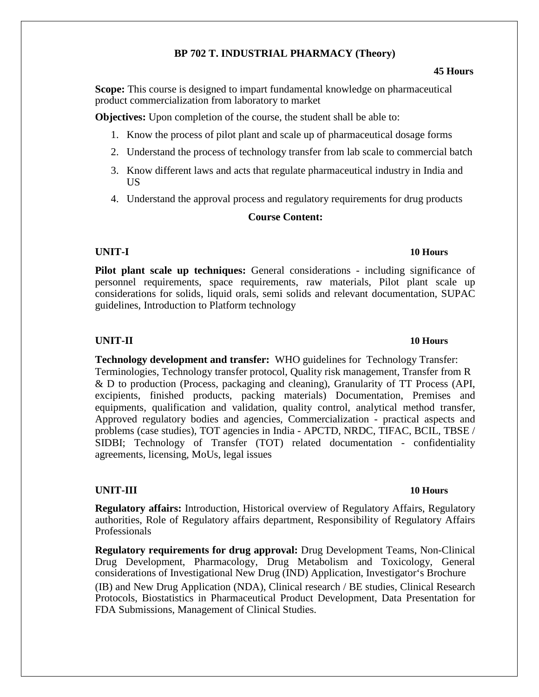### **BP 702 T. INDUSTRIAL PHARMACY (Theory)**

### **45 Hours**

**Scope:** This course is designed to impart fundamental knowledge on pharmaceutical product commercialization from laboratory to market

**Objectives:** Upon completion of the course, the student shall be able to:

- 1. Know the process of pilot plant and scale up of pharmaceutical dosage forms
- 2. Understand the process of technology transfer from lab scale to commercial batch
- 3. Know different laws and acts that regulate pharmaceutical industry in India and US
- 4. Understand the approval process and regulatory requirements for drug products

## **Course Content:**

Pilot plant scale up techniques: General considerations - including significance of personnel requirements, space requirements, raw materials, Pilot plant scale up considerations for solids, liquid orals, semi solids and relevant documentation, SUPAC guidelines, Introduction to Platform technology

# **UNIT-II 10 Hours**

## **Technology development and transfer:** WHO guidelines for Technology Transfer: Terminologies, Technology transfer protocol, Quality risk management, Transfer from R & D to production (Process, packaging and cleaning), Granularity of TT Process (API, excipients, finished products, packing materials) Documentation, Premises and equipments, qualification and validation, quality control, analytical method transfer, Approved regulatory bodies and agencies, Commercialization - practical aspects and problems (case studies), TOT agencies in India - APCTD, NRDC, TIFAC, BCIL, TBSE / SIDBI; Technology of Transfer (TOT) related documentation - confidentiality agreements, licensing, MoUs, legal issues

### **UNIT-III 10 Hours**

**Regulatory affairs:** Introduction, Historical overview of Regulatory Affairs, Regulatory authorities, Role of Regulatory affairs department, Responsibility of Regulatory Affairs Professionals

**Regulatory requirements for drug approval:** Drug Development Teams, Non-Clinical Drug Development, Pharmacology, Drug Metabolism and Toxicology, General considerations of Investigational New Drug (IND) Application, Investigator's Brochure (IB) and New Drug Application (NDA), Clinical research / BE studies, Clinical Research Protocols, Biostatistics in Pharmaceutical Product Development, Data Presentation for FDA Submissions, Management of Clinical Studies.

## **UNIT-I 10 Hours**